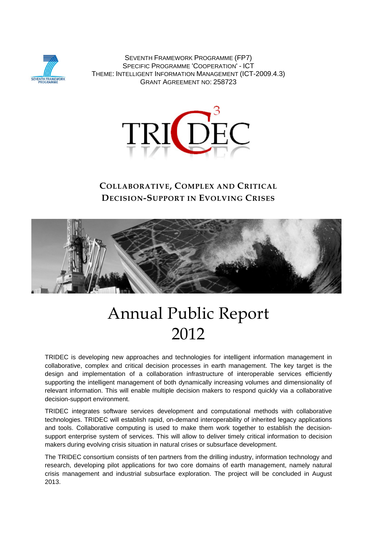

SEVENTH FRAMEWORK PROGRAMME (FP7) SPECIFIC PROGRAMME 'COOPERATION' - ICT THEME: INTELLIGENT INFORMATION MANAGEMENT (ICT-2009.4.3) GRANT AGREEMENT NO: 258723



## **COLLABORATIVE, COMPLEX AND CRITICAL DECISION-SUPPORT IN EVOLVING CRISES**



# Annual Public Report 2012

TRIDEC is developing new approaches and technologies for intelligent information management in collaborative, complex and critical decision processes in earth management. The key target is the design and implementation of a collaboration infrastructure of interoperable services efficiently supporting the intelligent management of both dynamically increasing volumes and dimensionality of relevant information. This will enable multiple decision makers to respond quickly via a collaborative decision-support environment.

TRIDEC integrates software services development and computational methods with collaborative technologies. TRIDEC will establish rapid, on-demand interoperability of inherited legacy applications and tools. Collaborative computing is used to make them work together to establish the decisionsupport enterprise system of services. This will allow to deliver timely critical information to decision makers during evolving crisis situation in natural crises or subsurface development.

The TRIDEC consortium consists of ten partners from the drilling industry, information technology and research, developing pilot applications for two core domains of earth management, namely natural crisis management and industrial subsurface exploration. The project will be concluded in August 2013.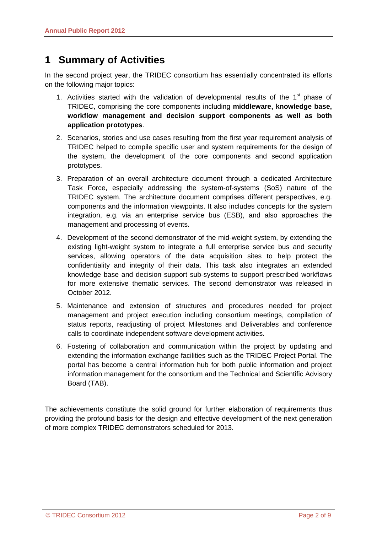# **1 Summary of Activities**

In the second project year, the TRIDEC consortium has essentially concentrated its efforts on the following major topics:

- 1. Activities started with the validation of developmental results of the  $1<sup>st</sup>$  phase of TRIDEC, comprising the core components including **middleware, knowledge base, workflow management and decision support components as well as both application prototypes**.
- 2. Scenarios, stories and use cases resulting from the first year requirement analysis of TRIDEC helped to compile specific user and system requirements for the design of the system, the development of the core components and second application prototypes.
- 3. Preparation of an overall architecture document through a dedicated Architecture Task Force, especially addressing the system-of-systems (SoS) nature of the TRIDEC system. The architecture document comprises different perspectives, e.g. components and the information viewpoints. It also includes concepts for the system integration, e.g. via an enterprise service bus (ESB), and also approaches the management and processing of events.
- 4. Development of the second demonstrator of the mid-weight system, by extending the existing light-weight system to integrate a full enterprise service bus and security services, allowing operators of the data acquisition sites to help protect the confidentiality and integrity of their data. This task also integrates an extended knowledge base and decision support sub-systems to support prescribed workflows for more extensive thematic services. The second demonstrator was released in October 2012.
- 5. Maintenance and extension of structures and procedures needed for project management and project execution including consortium meetings, compilation of status reports, readjusting of project Milestones and Deliverables and conference calls to coordinate independent software development activities.
- 6. Fostering of collaboration and communication within the project by updating and extending the information exchange facilities such as the TRIDEC Project Portal. The portal has become a central information hub for both public information and project information management for the consortium and the Technical and Scientific Advisory Board (TAB).

The achievements constitute the solid ground for further elaboration of requirements thus providing the profound basis for the design and effective development of the next generation of more complex TRIDEC demonstrators scheduled for 2013.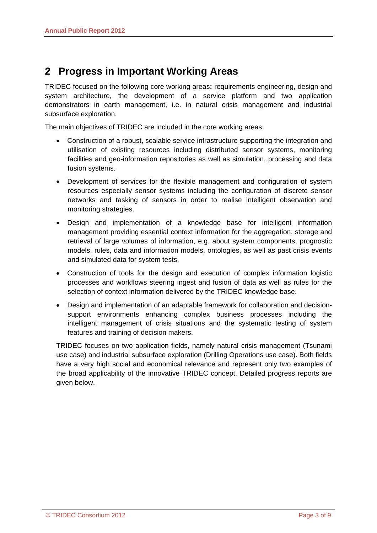# **2 Progress in Important Working Areas**

TRIDEC focused on the following core working areas**:** requirements engineering, design and system architecture, the development of a service platform and two application demonstrators in earth management, i.e. in natural crisis management and industrial subsurface exploration.

The main objectives of TRIDEC are included in the core working areas:

- Construction of a robust, scalable service infrastructure supporting the integration and utilisation of existing resources including distributed sensor systems, monitoring facilities and geo-information repositories as well as simulation, processing and data fusion systems.
- Development of services for the flexible management and configuration of system resources especially sensor systems including the configuration of discrete sensor networks and tasking of sensors in order to realise intelligent observation and monitoring strategies.
- Design and implementation of a knowledge base for intelligent information management providing essential context information for the aggregation, storage and retrieval of large volumes of information, e.g. about system components, prognostic models, rules, data and information models, ontologies, as well as past crisis events and simulated data for system tests.
- Construction of tools for the design and execution of complex information logistic processes and workflows steering ingest and fusion of data as well as rules for the selection of context information delivered by the TRIDEC knowledge base.
- Design and implementation of an adaptable framework for collaboration and decisionsupport environments enhancing complex business processes including the intelligent management of crisis situations and the systematic testing of system features and training of decision makers.

TRIDEC focuses on two application fields, namely natural crisis management (Tsunami use case) and industrial subsurface exploration (Drilling Operations use case). Both fields have a very high social and economical relevance and represent only two examples of the broad applicability of the innovative TRIDEC concept. Detailed progress reports are given below.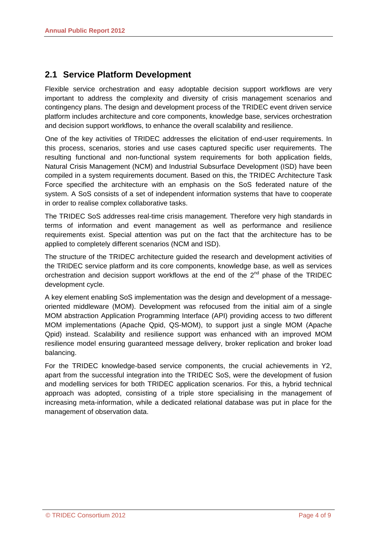#### **2.1 Service Platform Development**

Flexible service orchestration and easy adoptable decision support workflows are very important to address the complexity and diversity of crisis management scenarios and contingency plans. The design and development process of the TRIDEC event driven service platform includes architecture and core components, knowledge base, services orchestration and decision support workflows, to enhance the overall scalability and resilience.

One of the key activities of TRIDEC addresses the elicitation of end-user requirements. In this process, scenarios, stories and use cases captured specific user requirements. The resulting functional and non-functional system requirements for both application fields, Natural Crisis Management (NCM) and Industrial Subsurface Development (ISD) have been compiled in a system requirements document. Based on this, the TRIDEC Architecture Task Force specified the architecture with an emphasis on the SoS federated nature of the system. A SoS consists of a set of independent information systems that have to cooperate in order to realise complex collaborative tasks.

The TRIDEC SoS addresses real-time crisis management. Therefore very high standards in terms of information and event management as well as performance and resilience requirements exist. Special attention was put on the fact that the architecture has to be applied to completely different scenarios (NCM and ISD).

The structure of the TRIDEC architecture guided the research and development activities of the TRIDEC service platform and its core components, knowledge base, as well as services orchestration and decision support workflows at the end of the 2<sup>nd</sup> phase of the TRIDEC development cycle.

A key element enabling SoS implementation was the design and development of a messageoriented middleware (MOM). Development was refocused from the initial aim of a single MOM abstraction Application Programming Interface (API) providing access to two different MOM implementations (Apache Qpid, QS-MOM), to support just a single MOM (Apache Qpid) instead. Scalability and resilience support was enhanced with an improved MOM resilience model ensuring guaranteed message delivery, broker replication and broker load balancing.

For the TRIDEC knowledge-based service components, the crucial achievements in Y2, apart from the successful integration into the TRIDEC SoS, were the development of fusion and modelling services for both TRIDEC application scenarios. For this, a hybrid technical approach was adopted, consisting of a triple store specialising in the management of increasing meta-information, while a dedicated relational database was put in place for the management of observation data.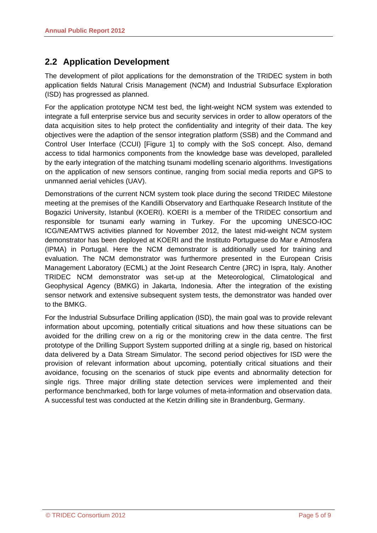#### **2.2 Application Development**

The development of pilot applications for the demonstration of the TRIDEC system in both application fields Natural Crisis Management (NCM) and Industrial Subsurface Exploration (ISD) has progressed as planned.

For the application prototype NCM test bed, the light-weight NCM system was extended to integrate a full enterprise service bus and security services in order to allow operators of the data acquisition sites to help protect the confidentiality and integrity of their data. The key objectives were the adaption of the sensor integration platform (SSB) and the Command and Control User Interface (CCUI) [Figure 1] to comply with the SoS concept. Also, demand access to tidal harmonics components from the knowledge base was developed, paralleled by the early integration of the matching tsunami modelling scenario algorithms. Investigations on the application of new sensors continue, ranging from social media reports and GPS to unmanned aerial vehicles (UAV).

Demonstrations of the current NCM system took place during the second TRIDEC Milestone meeting at the premises of the Kandilli Observatory and Earthquake Research Institute of the Bogazici University, Istanbul (KOERI). KOERI is a member of the TRIDEC consortium and responsible for tsunami early warning in Turkey. For the upcoming UNESCO-IOC ICG/NEAMTWS activities planned for November 2012, the latest mid-weight NCM system demonstrator has been deployed at KOERI and the Instituto Portuguese do Mar e Atmosfera (IPMA) in Portugal. Here the NCM demonstrator is additionally used for training and evaluation. The NCM demonstrator was furthermore presented in the European Crisis Management Laboratory (ECML) at the Joint Research Centre (JRC) in Ispra, Italy. Another TRIDEC NCM demonstrator was set-up at the Meteorological, Climatological and Geophysical Agency (BMKG) in Jakarta, Indonesia. After the integration of the existing sensor network and extensive subsequent system tests, the demonstrator was handed over to the BMKG.

For the Industrial Subsurface Drilling application (ISD), the main goal was to provide relevant information about upcoming, potentially critical situations and how these situations can be avoided for the drilling crew on a rig or the monitoring crew in the data centre. The first prototype of the Drilling Support System supported drilling at a single rig, based on historical data delivered by a Data Stream Simulator. The second period objectives for ISD were the provision of relevant information about upcoming, potentially critical situations and their avoidance, focusing on the scenarios of stuck pipe events and abnormality detection for single rigs. Three major drilling state detection services were implemented and their performance benchmarked, both for large volumes of meta-information and observation data. A successful test was conducted at the Ketzin drilling site in Brandenburg, Germany.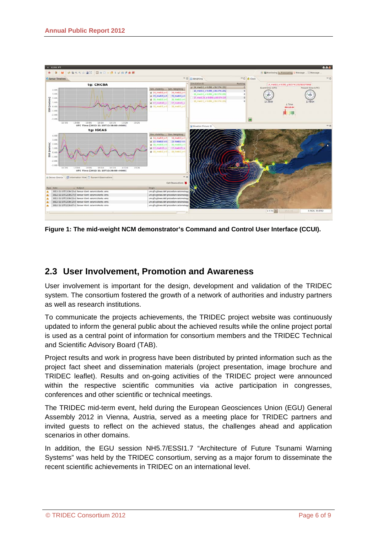

**Figure 1: The mid-weight NCM demonstrator's Command and Control User Interface (CCUI).** 

#### **2.3 User Involvement, Promotion and Awareness**

User involvement is important for the design, development and validation of the TRIDEC system. The consortium fostered the growth of a network of authorities and industry partners as well as research institutions.

To communicate the projects achievements, the TRIDEC project website was continuously updated to inform the general public about the achieved results while the online project portal is used as a central point of information for consortium members and the TRIDEC Technical and Scientific Advisory Board (TAB).

Project results and work in progress have been distributed by printed information such as the project fact sheet and dissemination materials (project presentation, image brochure and TRIDEC leaflet). Results and on-going activities of the TRIDEC project were announced within the respective scientific communities via active participation in congresses, conferences and other scientific or technical meetings.

The TRIDEC mid-term event, held during the European Geosciences Union (EGU) General Assembly 2012 in Vienna, Austria, served as a meeting place for TRIDEC partners and invited guests to reflect on the achieved status, the challenges ahead and application scenarios in other domains.

In addition, the EGU session NH5.7/ESSI1.7 "Architecture of Future Tsunami Warning Systems" was held by the TRIDEC consortium, serving as a major forum to disseminate the recent scientific achievements in TRIDEC on an international level.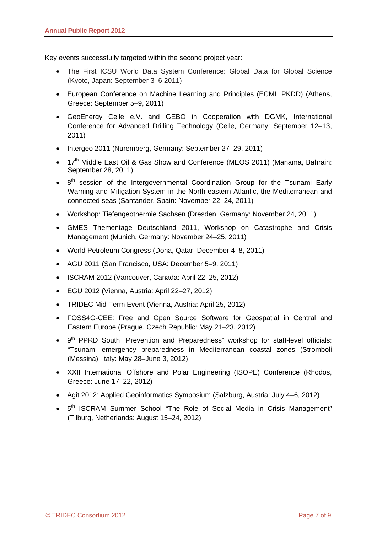Key events successfully targeted within the second project year:

- The First ICSU World Data System Conference: Global Data for Global Science (Kyoto, Japan: September 3–6 2011)
- European Conference on Machine Learning and Principles (ECML PKDD) (Athens, Greece: September 5–9, 2011)
- GeoEnergy Celle e.V. and GEBO in Cooperation with DGMK, International Conference for Advanced Drilling Technology (Celle, Germany: September 12–13, 2011)
- Intergeo 2011 (Nuremberg, Germany: September 27–29, 2011)
- 17<sup>th</sup> Middle East Oil & Gas Show and Conference (MEOS 2011) (Manama, Bahrain: September 28, 2011)
- $\bullet$  8<sup>th</sup> session of the Intergovernmental Coordination Group for the Tsunami Early Warning and Mitigation System in the North-eastern Atlantic, the Mediterranean and connected seas (Santander, Spain: November 22–24, 2011)
- Workshop: Tiefengeothermie Sachsen (Dresden, Germany: November 24, 2011)
- GMES Thementage Deutschland 2011, Workshop on Catastrophe and Crisis Management (Munich, Germany: November 24–25, 2011)
- World Petroleum Congress (Doha, Qatar: December 4–8, 2011)
- AGU 2011 (San Francisco, USA: December 5–9, 2011)
- ISCRAM 2012 (Vancouver, Canada: April 22–25, 2012)
- EGU 2012 (Vienna, Austria: April 22–27, 2012)
- TRIDEC Mid-Term Event (Vienna, Austria: April 25, 2012)
- FOSS4G-CEE: Free and Open Source Software for Geospatial in Central and Eastern Europe (Prague, Czech Republic: May 21–23, 2012)
- 9<sup>th</sup> PPRD South "Prevention and Preparedness" workshop for staff-level officials: "Tsunami emergency preparedness in Mediterranean coastal zones (Stromboli (Messina), Italy: May 28–June 3, 2012)
- XXII International Offshore and Polar Engineering (ISOPE) Conference (Rhodos, Greece: June 17–22, 2012)
- Agit 2012: Applied Geoinformatics Symposium (Salzburg, Austria: July 4–6, 2012)
- $5<sup>th</sup>$  ISCRAM Summer School "The Role of Social Media in Crisis Management" (Tilburg, Netherlands: August 15–24, 2012)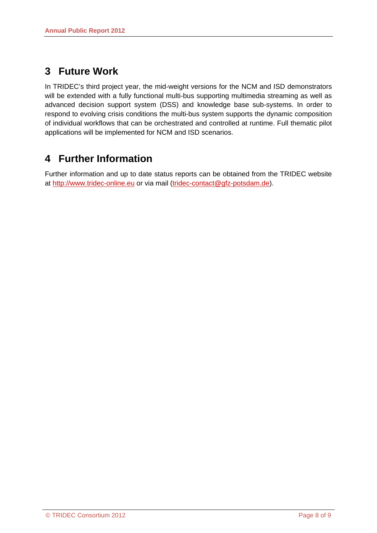# **3 Future Work**

In TRIDEC's third project year, the mid-weight versions for the NCM and ISD demonstrators will be extended with a fully functional multi-bus supporting multimedia streaming as well as advanced decision support system (DSS) and knowledge base sub-systems. In order to respond to evolving crisis conditions the multi-bus system supports the dynamic composition of individual workflows that can be orchestrated and controlled at runtime. Full thematic pilot applications will be implemented for NCM and ISD scenarios.

# **4 Further Information**

Further information and up to date status reports can be obtained from the TRIDEC website at http://www.tridec-online.eu or via mail (tridec-contact@gfz-potsdam.de).